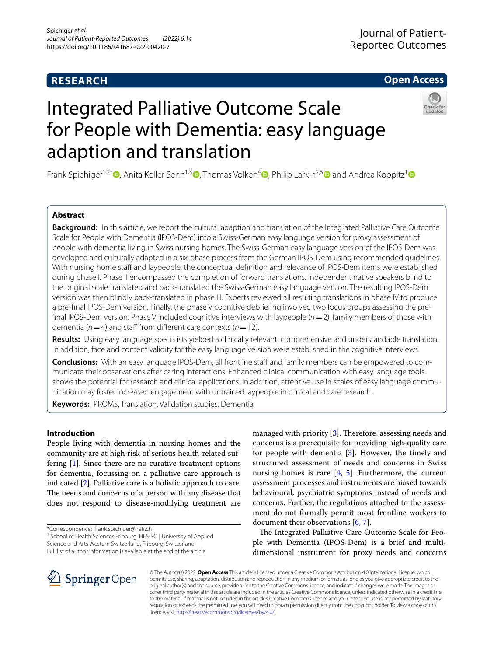# **RESEARCH**

# **Open Access**



# Integrated Palliative Outcome Scale for People with Dementia: easy language adaption and translation

Frank Spichiger<sup>1,2[\\*](http://orcid.org/0000-0003-1900-1938)</sup>  $\bullet$ [,](http://orcid.org/0000-0002-1490-011X) Anita Keller Senn<sup>[1](http://orcid.org/0000-0002-7274-6691),3</sup>  $\bullet$ , Thomas Volken<sup>4</sup>  $\bullet$ , Philip Larkin<sup>2,[5](http://orcid.org/0000-0001-8424-3920)</sup>  $\bullet$  and Andrea Koppitz<sup>1</sup>  $\bullet$ 

# **Abstract**

**Background:** In this article, we report the cultural adaption and translation of the Integrated Palliative Care Outcome Scale for People with Dementia (IPOS-Dem) into a Swiss-German easy language version for proxy assessment of people with dementia living in Swiss nursing homes. The Swiss-German easy language version of the IPOS-Dem was developed and culturally adapted in a six-phase process from the German IPOS-Dem using recommended guidelines. With nursing home staff and laypeople, the conceptual definition and relevance of IPOS-Dem items were established during phase I. Phase II encompassed the completion of forward translations. Independent native speakers blind to the original scale translated and back-translated the Swiss-German easy language version. The resulting IPOS-Dem version was then blindly back-translated in phase III. Experts reviewed all resulting translations in phase IV to produce a pre-fnal IPOS-Dem version. Finally, the phase V cognitive debriefng involved two focus groups assessing the prefnal IPOS-Dem version. Phase V included cognitive interviews with laypeople (*n*=2), family members of those with dementia ( $n=4$ ) and staff from different care contexts ( $n=12$ ).

**Results:** Using easy language specialists yielded a clinically relevant, comprehensive and understandable translation. In addition, face and content validity for the easy language version were established in the cognitive interviews.

**Conclusions:** With an easy language IPOS-Dem, all frontline staff and family members can be empowered to communicate their observations after caring interactions. Enhanced clinical communication with easy language tools shows the potential for research and clinical applications. In addition, attentive use in scales of easy language communication may foster increased engagement with untrained laypeople in clinical and care research.

**Keywords:** PROMS, Translation, Validation studies, Dementia

# **Introduction**

People living with dementia in nursing homes and the community are at high risk of serious health-related suffering [\[1\]](#page-7-0). Since there are no curative treatment options for dementia, focussing on a palliative care approach is indicated [\[2](#page-7-1)]. Palliative care is a holistic approach to care. The needs and concerns of a person with any disease that does not respond to disease-modifying treatment are

\*Correspondence: frank.spichiger@hefr.ch

<sup>1</sup> School of Health Sciences Fribourg, HES-SO | University of Applied Science and Arts Western Switzerland, Fribourg, Switzerland

Full list of author information is available at the end of the article

managed with priority  $[3]$  $[3]$ . Therefore, assessing needs and concerns is a prerequisite for providing high-quality care for people with dementia [[3\]](#page-7-2). However, the timely and structured assessment of needs and concerns in Swiss nursing homes is rare  $[4, 5]$  $[4, 5]$  $[4, 5]$  $[4, 5]$  $[4, 5]$ . Furthermore, the current assessment processes and instruments are biased towards behavioural, psychiatric symptoms instead of needs and concerns. Further, the regulations attached to the assessment do not formally permit most frontline workers to document their observations  $[6, 7]$  $[6, 7]$  $[6, 7]$  $[6, 7]$ .

The Integrated Palliative Care Outcome Scale for People with Dementia (IPOS-Dem) is a brief and multidimensional instrument for proxy needs and concerns



© The Author(s) 2022. **Open Access** This article is licensed under a Creative Commons Attribution 4.0 International License, which permits use, sharing, adaptation, distribution and reproduction in any medium or format, as long as you give appropriate credit to the original author(s) and the source, provide a link to the Creative Commons licence, and indicate if changes were made. The images or other third party material in this article are included in the article's Creative Commons licence, unless indicated otherwise in a credit line to the material. If material is not included in the article's Creative Commons licence and your intended use is not permitted by statutory regulation or exceeds the permitted use, you will need to obtain permission directly from the copyright holder. To view a copy of this licence, visit [http://creativecommons.org/licenses/by/4.0/.](http://creativecommons.org/licenses/by/4.0/)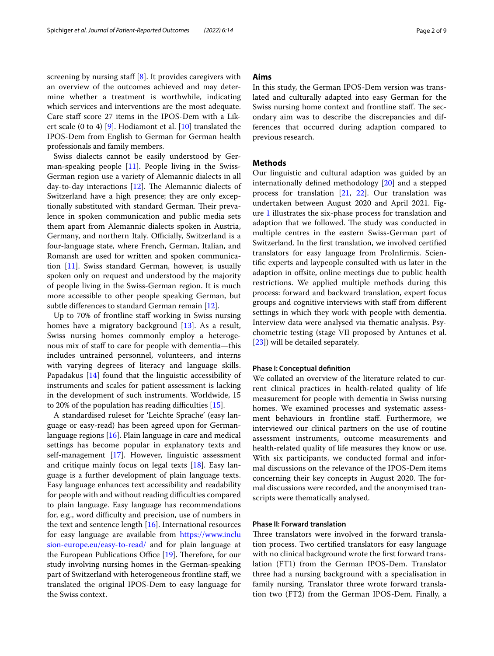screening by nursing staff  $[8]$  $[8]$ . It provides caregivers with an overview of the outcomes achieved and may determine whether a treatment is worthwhile, indicating which services and interventions are the most adequate. Care staff score 27 items in the IPOS-Dem with a Likert scale (0 to 4) [[9](#page-7-8)]. Hodiamont et al. [\[10](#page-7-9)] translated the IPOS-Dem from English to German for German health professionals and family members.

Swiss dialects cannot be easily understood by German-speaking people [[11](#page-7-10)]. People living in the Swiss-German region use a variety of Alemannic dialects in all day-to-day interactions  $[12]$  $[12]$ . The Alemannic dialects of Switzerland have a high presence; they are only exceptionally substituted with standard German. Their prevalence in spoken communication and public media sets them apart from Alemannic dialects spoken in Austria, Germany, and northern Italy. Officially, Switzerland is a four-language state, where French, German, Italian, and Romansh are used for written and spoken communication [\[11\]](#page-7-10). Swiss standard German, however, is usually spoken only on request and understood by the majority of people living in the Swiss-German region. It is much more accessible to other people speaking German, but subtle diferences to standard German remain [\[12](#page-7-11)].

Up to 70% of frontline staff working in Swiss nursing homes have a migratory background [\[13](#page-7-12)]. As a result, Swiss nursing homes commonly employ a heterogenous mix of staf to care for people with dementia—this includes untrained personnel, volunteers, and interns with varying degrees of literacy and language skills. Papadakus [\[14](#page-7-13)] found that the linguistic accessibility of instruments and scales for patient assessment is lacking in the development of such instruments. Worldwide, 15 to 20% of the population has reading difficulties  $[15]$  $[15]$ .

A standardised ruleset for 'Leichte Sprache' (easy language or easy-read) has been agreed upon for Germanlanguage regions [\[16\]](#page-7-15). Plain language in care and medical settings has become popular in explanatory texts and self-management [\[17\]](#page-7-16). However, linguistic assessment and critique mainly focus on legal texts [[18\]](#page-7-17). Easy language is a further development of plain language texts. Easy language enhances text accessibility and readability for people with and without reading difficulties compared to plain language. Easy language has recommendations for, e.g., word difficulty and precision, use of numbers in the text and sentence length [[16\]](#page-7-15). International resources for easy language are available from [https://www.inclu](https://www.inclusion-europe.eu/easy-to-read/) [sion-europe.eu/easy-to-read/](https://www.inclusion-europe.eu/easy-to-read/) and for plain language at the European Publications Office  $[19]$  $[19]$ . Therefore, for our study involving nursing homes in the German-speaking part of Switzerland with heterogeneous frontline staf, we translated the original IPOS-Dem to easy language for the Swiss context.

# **Aims**

In this study, the German IPOS-Dem version was translated and culturally adapted into easy German for the Swiss nursing home context and frontline staff. The secondary aim was to describe the discrepancies and differences that occurred during adaption compared to previous research.

## **Methods**

Our linguistic and cultural adaption was guided by an internationally defned methodology [\[20\]](#page-7-19) and a stepped process for translation  $[21, 22]$  $[21, 22]$  $[21, 22]$  $[21, 22]$  $[21, 22]$ . Our translation was undertaken between August 2020 and April 2021. Figure [1](#page-2-0) illustrates the six-phase process for translation and adaption that we followed. The study was conducted in multiple centres in the eastern Swiss-German part of Switzerland. In the frst translation, we involved certifed translators for easy language from ProInfrmis. Scientifc experts and laypeople consulted with us later in the adaption in offsite, online meetings due to public health restrictions. We applied multiple methods during this process: forward and backward translation, expert focus groups and cognitive interviews with staf from diferent settings in which they work with people with dementia. Interview data were analysed via thematic analysis. Psychometric testing (stage VII proposed by Antunes et al. [[23\]](#page-8-1)) will be detailed separately.

#### **Phase I: Conceptual defnition**

We collated an overview of the literature related to current clinical practices in health-related quality of life measurement for people with dementia in Swiss nursing homes. We examined processes and systematic assessment behaviours in frontline staf. Furthermore, we interviewed our clinical partners on the use of routine assessment instruments, outcome measurements and health-related quality of life measures they know or use. With six participants, we conducted formal and informal discussions on the relevance of the IPOS-Dem items concerning their key concepts in August 2020. The formal discussions were recorded, and the anonymised transcripts were thematically analysed.

## **Phase II: Forward translation**

Three translators were involved in the forward translation process. Two certifed translators for easy language with no clinical background wrote the frst forward translation (FT1) from the German IPOS-Dem. Translator three had a nursing background with a specialisation in family nursing. Translator three wrote forward translation two (FT2) from the German IPOS-Dem. Finally, a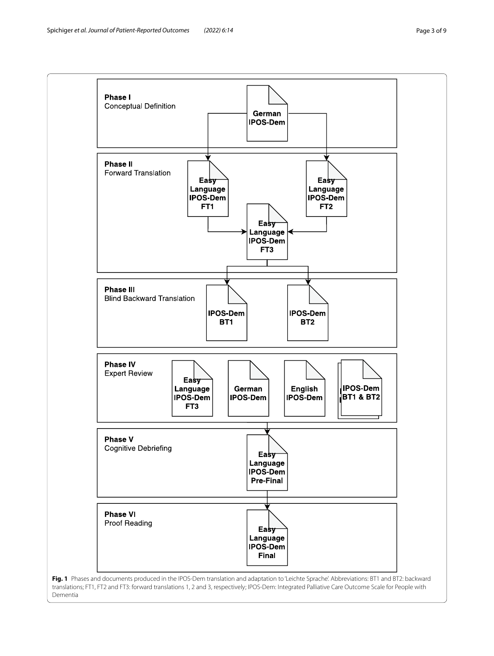<span id="page-2-0"></span>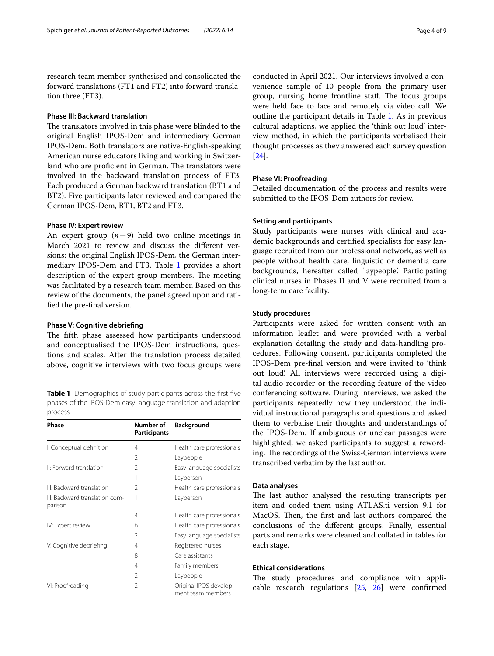research team member synthesised and consolidated the forward translations (FT1 and FT2) into forward translation three (FT3).

## **Phase III: Backward translation**

The translators involved in this phase were blinded to the original English IPOS-Dem and intermediary German IPOS-Dem. Both translators are native-English-speaking American nurse educators living and working in Switzerland who are proficient in German. The translators were involved in the backward translation process of FT3. Each produced a German backward translation (BT1 and BT2). Five participants later reviewed and compared the German IPOS-Dem, BT1, BT2 and FT3.

# **Phase IV: Expert review**

An expert group  $(n=9)$  held two online meetings in March 2021 to review and discuss the diferent versions: the original English IPOS-Dem, the German inter-mediary IPOS-Dem and FT3. Table [1](#page-3-0) provides a short description of the expert group members. The meeting was facilitated by a research team member. Based on this review of the documents, the panel agreed upon and ratifed the pre-fnal version.

#### **Phase V: Cognitive debriefng**

The fifth phase assessed how participants understood and conceptualised the IPOS-Dem instructions, questions and scales. After the translation process detailed above, cognitive interviews with two focus groups were

<span id="page-3-0"></span>**Table 1** Demographics of study participants across the first five phases of the IPOS-Dem easy language translation and adaption process

| Phase                                     | Number of<br><b>Participants</b> | <b>Background</b>                           |
|-------------------------------------------|----------------------------------|---------------------------------------------|
| I: Conceptual definition                  | 4                                | Health care professionals                   |
|                                           | $\mathfrak{D}$                   | Laypeople                                   |
| II: Forward translation                   | $\mathfrak{D}$                   | Easy language specialists                   |
|                                           | 1                                | Layperson                                   |
| III: Backward translation                 | 2                                | Health care professionals                   |
| III: Backward translation com-<br>parison | 1                                | Layperson                                   |
|                                           | 4                                | Health care professionals                   |
| IV: Expert review                         | 6                                | Health care professionals                   |
|                                           | $\mathfrak{D}$                   | Easy language specialists                   |
| V: Cognitive debriefing                   | 4                                | Registered nurses                           |
|                                           | 8                                | Care assistants                             |
|                                           | 4                                | Family members                              |
|                                           | $\mathfrak{D}$                   | Laypeople                                   |
| VI: Proofreading                          | $\mathfrak{D}$                   | Original IPOS develop-<br>ment team members |

conducted in April 2021. Our interviews involved a convenience sample of 10 people from the primary user group, nursing home frontline staff. The focus groups were held face to face and remotely via video call. We outline the participant details in Table [1.](#page-3-0) As in previous cultural adaptions, we applied the 'think out loud' interview method, in which the participants verbalised their thought processes as they answered each survey question [[24\]](#page-8-2).

## **Phase VI: Proofreading**

Detailed documentation of the process and results were submitted to the IPOS-Dem authors for review.

# **Setting and participants**

Study participants were nurses with clinical and academic backgrounds and certifed specialists for easy language recruited from our professional network, as well as people without health care, linguistic or dementia care backgrounds, hereafter called 'laypeople'. Participating clinical nurses in Phases II and V were recruited from a long-term care facility.

#### **Study procedures**

Participants were asked for written consent with an information leafet and were provided with a verbal explanation detailing the study and data-handling procedures. Following consent, participants completed the IPOS-Dem pre-fnal version and were invited to 'think out loud'. All interviews were recorded using a digital audio recorder or the recording feature of the video conferencing software. During interviews, we asked the participants repeatedly how they understood the individual instructional paragraphs and questions and asked them to verbalise their thoughts and understandings of the IPOS-Dem. If ambiguous or unclear passages were highlighted, we asked participants to suggest a rewording. The recordings of the Swiss-German interviews were transcribed verbatim by the last author.

#### **Data analyses**

The last author analysed the resulting transcripts per item and coded them using ATLAS.ti version 9.1 for MacOS. Then, the first and last authors compared the conclusions of the diferent groups. Finally, essential parts and remarks were cleaned and collated in tables for each stage.

# **Ethical considerations**

The study procedures and compliance with applicable research regulations [\[25](#page-8-3), [26](#page-8-4)] were confrmed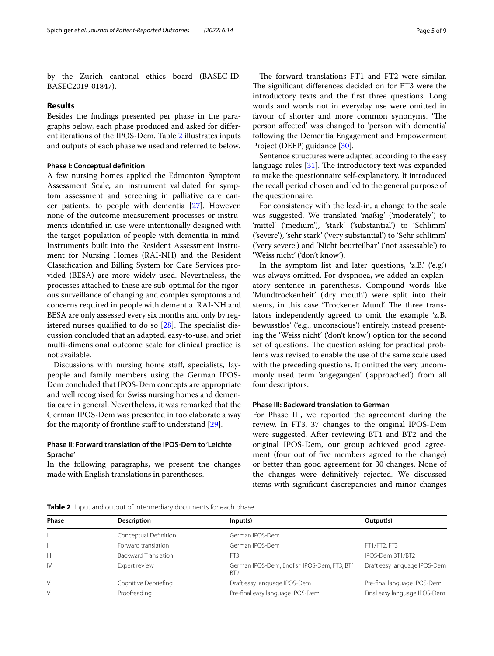by the Zurich cantonal ethics board (BASEC-ID: BASEC2019-01847).

#### **Results**

Besides the fndings presented per phase in the paragraphs below, each phase produced and asked for diferent iterations of the IPOS-Dem. Table [2](#page-4-0) illustrates inputs and outputs of each phase we used and referred to below.

# **Phase I: Conceptual defnition**

A few nursing homes applied the Edmonton Symptom Assessment Scale, an instrument validated for symptom assessment and screening in palliative care cancer patients, to people with dementia [\[27](#page-8-5)]. However, none of the outcome measurement processes or instruments identifed in use were intentionally designed with the target population of people with dementia in mind. Instruments built into the Resident Assessment Instrument for Nursing Homes (RAI-NH) and the Resident Classifcation and Billing System for Care Services provided (BESA) are more widely used. Nevertheless, the processes attached to these are sub-optimal for the rigorous surveillance of changing and complex symptoms and concerns required in people with dementia. RAI-NH and BESA are only assessed every six months and only by registered nurses qualified to do so  $[28]$  $[28]$ . The specialist discussion concluded that an adapted, easy-to-use, and brief multi-dimensional outcome scale for clinical practice is not available.

Discussions with nursing home staf, specialists, laypeople and family members using the German IPOS-Dem concluded that IPOS-Dem concepts are appropriate and well recognised for Swiss nursing homes and dementia care in general. Nevertheless, it was remarked that the German IPOS-Dem was presented in too elaborate a way for the majority of frontline staff to understand [\[29](#page-8-7)].

# **Phase II: Forward translation of the IPOS‑Dem to 'Leichte Sprache'**

In the following paragraphs, we present the changes made with English translations in parentheses.

The forward translations FT1 and FT2 were similar. The significant differences decided on for FT3 were the introductory texts and the frst three questions. Long words and words not in everyday use were omitted in favour of shorter and more common synonyms. 'The person afected' was changed to 'person with dementia' following the Dementia Engagement and Empowerment Project (DEEP) guidance [\[30](#page-8-8)].

Sentence structures were adapted according to the easy language rules  $[31]$  $[31]$ . The introductory text was expanded to make the questionnaire self-explanatory. It introduced the recall period chosen and led to the general purpose of the questionnaire.

For consistency with the lead-in, a change to the scale was suggested. We translated 'mäßig' ('moderately') to 'mittel' ('medium'), 'stark' ('substantial') to 'Schlimm' ('severe'), 'sehr stark' ('very substantial') to 'Sehr schlimm' ('very severe') and 'Nicht beurteilbar' ('not assessable') to 'Weiss nicht' ('don't know').

In the symptom list and later questions, 'z.B.' ('e.g.') was always omitted. For dyspnoea, we added an explanatory sentence in parenthesis. Compound words like 'Mundtrockenheit' ('dry mouth') were split into their stems, in this case 'Trockener Mund'. The three translators independently agreed to omit the example 'z.B. bewusstlos' ('e.g., unconscious') entirely, instead presenting the 'Weiss nicht' ('don't know') option for the second set of questions. The question asking for practical problems was revised to enable the use of the same scale used with the preceding questions. It omitted the very uncommonly used term 'angegangen' ('approached') from all four descriptors.

# **Phase III: Backward translation to German**

For Phase III, we reported the agreement during the review. In FT3, 37 changes to the original IPOS-Dem were suggested. After reviewing BT1 and BT2 and the original IPOS-Dem, our group achieved good agreement (four out of fve members agreed to the change) or better than good agreement for 30 changes. None of the changes were defnitively rejected. We discussed items with signifcant discrepancies and minor changes

<span id="page-4-0"></span>

|  |  |  |  |  | <b>Table 2</b> Input and output of intermediary documents for each phase |
|--|--|--|--|--|--------------------------------------------------------------------------|
|--|--|--|--|--|--------------------------------------------------------------------------|

| Phase        | <b>Description</b>          | Input(s)                                                        | Output(s)                    |
|--------------|-----------------------------|-----------------------------------------------------------------|------------------------------|
|              | Conceptual Definition       | German IPOS-Dem                                                 |                              |
| $\mathbb{I}$ | Forward translation         | German IPOS-Dem                                                 | FT1/FT2, FT3                 |
| $\mathbb{H}$ | <b>Backward Translation</b> | FT3                                                             | IPOS-Dem BT1/BT2             |
| <b>IV</b>    | Expert review               | German IPOS-Dem, English IPOS-Dem, FT3, BT1,<br>BT <sub>2</sub> | Draft easy language IPOS-Dem |
| V            | Cognitive Debriefing        | Draft easy language IPOS-Dem                                    | Pre-final language IPOS-Dem  |
| Μ            | Proofreading                | Pre-final easy language IPOS-Dem                                | Final easy language IPOS-Dem |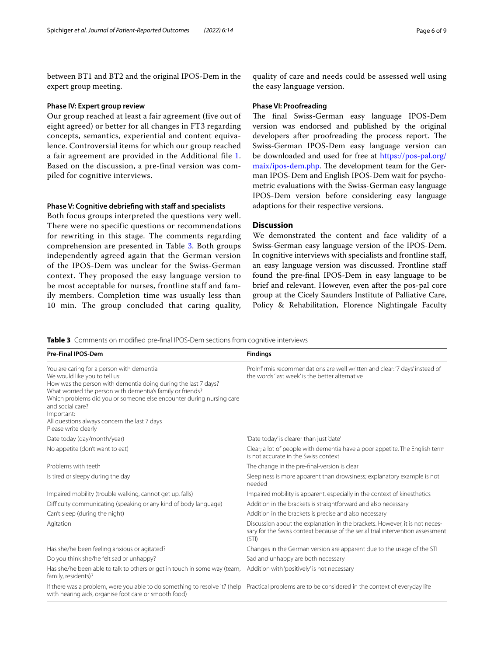between BT1 and BT2 and the original IPOS-Dem in the expert group meeting.

#### **Phase IV: Expert group review**

Our group reached at least a fair agreement (five out of eight agreed) or better for all changes in FT3 regarding concepts, semantics, experiential and content equivalence. Controversial items for which our group reached a fair agreement are provided in the Additional file [1](#page-6-0). Based on the discussion, a pre-final version was compiled for cognitive interviews.

#### **Phase V: Cognitive debriefing with staff and specialists**

Both focus groups interpreted the questions very well. There were no specific questions or recommendations for rewriting in this stage. The comments regarding comprehension are presented in Table [3.](#page-5-0) Both groups independently agreed again that the German version of the IPOS-Dem was unclear for the Swiss-German context. They proposed the easy language version to be most acceptable for nurses, frontline staff and family members. Completion time was usually less than 10 min. The group concluded that caring quality,

quality of care and needs could be assessed well using the easy language version.

#### **Phase VI: Proofreading**

The final Swiss-German easy language IPOS-Dem version was endorsed and published by the original developers after proofreading the process report. The Swiss-German IPOS-Dem easy language version can be downloaded and used for free at [https://pos-pal.org/](https://pos-pal.org/maix/ipos-dem.php) [maix/ipos-dem.php](https://pos-pal.org/maix/ipos-dem.php). The development team for the German IPOS-Dem and English IPOS-Dem wait for psychometric evaluations with the Swiss-German easy language IPOS-Dem version before considering easy language adaptions for their respective versions.

# **Discussion**

We demonstrated the content and face validity of a Swiss-German easy language version of the IPOS-Dem. In cognitive interviews with specialists and frontline staf, an easy language version was discussed. Frontline staf found the pre-fnal IPOS-Dem in easy language to be brief and relevant. However, even after the pos-pal core group at the Cicely Saunders Institute of Palliative Care, Policy & Rehabilitation, Florence Nightingale Faculty

<span id="page-5-0"></span>**Table 3** Comments on modifed pre-fnal IPOS-Dem sections from cognitive interviews

| <b>Pre-Final IPOS-Dem</b>                                                                                                                                                                                                                                                                                                                                                                    | <b>Findings</b>                                                                                                                                                        |
|----------------------------------------------------------------------------------------------------------------------------------------------------------------------------------------------------------------------------------------------------------------------------------------------------------------------------------------------------------------------------------------------|------------------------------------------------------------------------------------------------------------------------------------------------------------------------|
| You are caring for a person with dementia<br>We would like you to tell us:<br>How was the person with dementia doing during the last 7 days?<br>What worried the person with dementia's family or friends?<br>Which problems did you or someone else encounter during nursing care<br>and social care?<br>Important:<br>All questions always concern the last 7 days<br>Please write clearly | ProInfirmis recommendations are well written and clear: '7 days' instead of<br>the words 'last week' is the better alternative                                         |
| Date today (day/month/year)                                                                                                                                                                                                                                                                                                                                                                  | 'Date today' is clearer than just 'date'                                                                                                                               |
| No appetite (don't want to eat)                                                                                                                                                                                                                                                                                                                                                              | Clear; a lot of people with dementia have a poor appetite. The English term<br>is not accurate in the Swiss context                                                    |
| Problems with teeth                                                                                                                                                                                                                                                                                                                                                                          | The change in the pre-final-version is clear                                                                                                                           |
| Is tired or sleepy during the day                                                                                                                                                                                                                                                                                                                                                            | Sleepiness is more apparent than drowsiness; explanatory example is not<br>needed                                                                                      |
| Impaired mobility (trouble walking, cannot get up, falls)                                                                                                                                                                                                                                                                                                                                    | Impaired mobility is apparent, especially in the context of kinesthetics                                                                                               |
| Difficulty communicating (speaking or any kind of body language)                                                                                                                                                                                                                                                                                                                             | Addition in the brackets is straightforward and also necessary                                                                                                         |
| Can't sleep (during the night)                                                                                                                                                                                                                                                                                                                                                               | Addition in the brackets is precise and also necessary                                                                                                                 |
| Agitation                                                                                                                                                                                                                                                                                                                                                                                    | Discussion about the explanation in the brackets. However, it is not neces-<br>sary for the Swiss context because of the serial trial intervention assessment<br>(STI) |
| Has she/he been feeling anxious or agitated?                                                                                                                                                                                                                                                                                                                                                 | Changes in the German version are apparent due to the usage of the STI                                                                                                 |
| Do you think she/he felt sad or unhappy?                                                                                                                                                                                                                                                                                                                                                     | Sad and unhappy are both necessary                                                                                                                                     |
| Has she/he been able to talk to others or get in touch in some way (team,<br>family, residents)?                                                                                                                                                                                                                                                                                             | Addition with 'positively' is not necessary                                                                                                                            |
| If there was a problem, were you able to do something to resolve it? (help<br>with hearing aids, organise foot care or smooth food)                                                                                                                                                                                                                                                          | Practical problems are to be considered in the context of everyday life                                                                                                |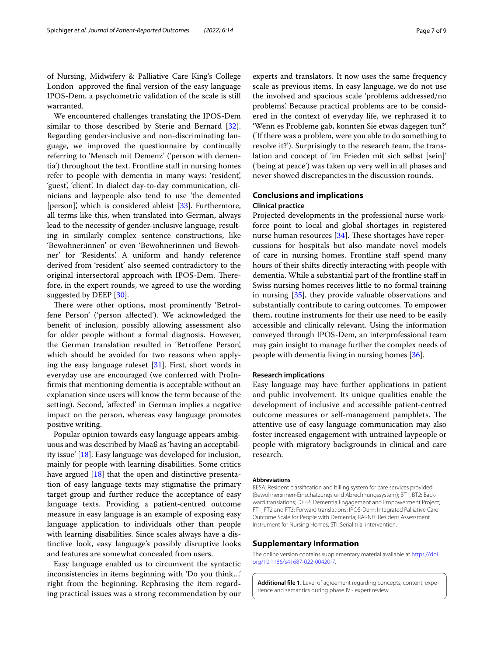of Nursing, Midwifery & Palliative Care King's College London approved the fnal version of the easy language IPOS-Dem, a psychometric validation of the scale is still warranted.

We encountered challenges translating the IPOS-Dem similar to those described by Sterie and Bernard [\[32](#page-8-10)]. Regarding gender-inclusive and non-discriminating language, we improved the questionnaire by continually referring to 'Mensch mit Demenz' ('person with dementia') throughout the text. Frontline staf in nursing homes refer to people with dementia in many ways: 'resident', 'guest', 'client'. In dialect day-to-day communication, clinicians and laypeople also tend to use 'the demented [person]', which is considered ableist [[33\]](#page-8-11). Furthermore, all terms like this, when translated into German, always lead to the necessity of gender-inclusive language, resulting in similarly complex sentence constructions, like 'Bewohner:innen' or even 'Bewohnerinnen und Bewohner' for 'Residents'. A uniform and handy reference derived from 'resident' also seemed contradictory to the original intersectoral approach with IPOS-Dem. Therefore, in the expert rounds, we agreed to use the wording suggested by DEEP [\[30](#page-8-8)].

There were other options, most prominently 'Betroffene Person' ('person afected'). We acknowledged the beneft of inclusion, possibly allowing assessment also for older people without a formal diagnosis. However, the German translation resulted in 'Betroffene Person', which should be avoided for two reasons when applying the easy language ruleset [[31](#page-8-9)]. First, short words in everyday use are encouraged (we conferred with ProInfrmis that mentioning dementia is acceptable without an explanation since users will know the term because of the setting). Second, 'afected' in German implies a negative impact on the person, whereas easy language promotes positive writing.

Popular opinion towards easy language appears ambiguous and was described by Maaß as 'having an acceptability issue' [\[18\]](#page-7-17). Easy language was developed for inclusion, mainly for people with learning disabilities. Some critics have argued [[18\]](#page-7-17) that the open and distinctive presentation of easy language texts may stigmatise the primary target group and further reduce the acceptance of easy language texts. Providing a patient-centred outcome measure in easy language is an example of exposing easy language application to individuals other than people with learning disabilities. Since scales always have a distinctive look, easy language's possibly disruptive looks and features are somewhat concealed from users.

Easy language enabled us to circumvent the syntactic inconsistencies in items beginning with 'Do you think…' right from the beginning. Rephrasing the item regarding practical issues was a strong recommendation by our experts and translators. It now uses the same frequency scale as previous items. In easy language, we do not use the involved and spacious scale 'problems addressed/no problems'. Because practical problems are to be considered in the context of everyday life, we rephrased it to 'Wenn es Probleme gab, konnten Sie etwas dagegen tun?' ('If there was a problem, were you able to do something to resolve it?'). Surprisingly to the research team, the translation and concept of 'im Frieden mit sich selbst [sein]' ('being at peace') was taken up very well in all phases and never showed discrepancies in the discussion rounds.

# **Conclusions and implications**

# **Clinical practice**

Projected developments in the professional nurse workforce point to local and global shortages in registered nurse human resources  $[34]$  $[34]$ . These shortages have repercussions for hospitals but also mandate novel models of care in nursing homes. Frontline staf spend many hours of their shifts directly interacting with people with dementia. While a substantial part of the frontline staf in Swiss nursing homes receives little to no formal training in nursing [[35](#page-8-13)], they provide valuable observations and substantially contribute to caring outcomes. To empower them, routine instruments for their use need to be easily accessible and clinically relevant. Using the information conveyed through IPOS-Dem, an interprofessional team may gain insight to manage further the complex needs of people with dementia living in nursing homes [[36\]](#page-8-14).

#### **Research implications**

Easy language may have further applications in patient and public involvement. Its unique qualities enable the development of inclusive and accessible patient-centred outcome measures or self-management pamphlets. The attentive use of easy language communication may also foster increased engagement with untrained laypeople or people with migratory backgrounds in clinical and care research.

#### **Abbreviations**

BESA: Resident classifcation and billing system for care services provided (Bewohner:innen-Einschätzungs und Abrechnungssystem); BT1, BT2: Backward translations; DEEP: Dementia Engagement and Empowerment Project; FT1, FT2 and FT3: Forward translations; IPOS-Dem: Integrated Palliative Care Outcome Scale for People with Dementia; RAI-NH: Resident Assessment Instrument for Nursing Homes; STI: Serial trial intervention.

#### **Supplementary Information**

The online version contains supplementary material available at [https://doi.](https://doi.org/10.1186/s41687-022-00420-7) [org/10.1186/s41687-022-00420-7](https://doi.org/10.1186/s41687-022-00420-7).

<span id="page-6-0"></span>**Additional fle 1.** Level of agreement regarding concepts, content, experience and semantics during phase IV - expert review.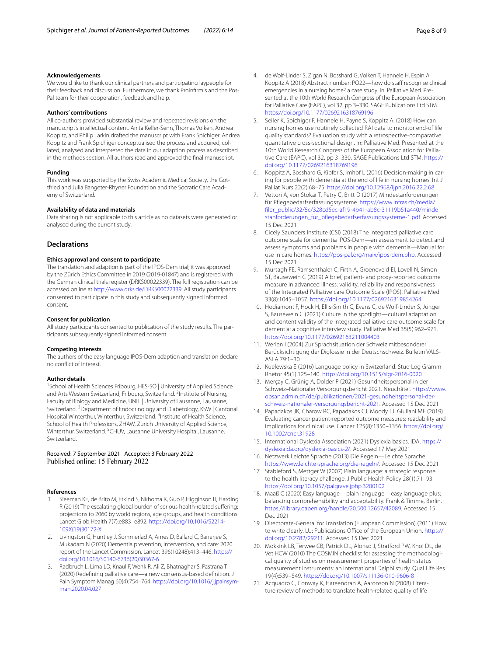#### **Acknowledgements**

We would like to thank our clinical partners and participating laypeople for their feedback and discussion. Furthermore, we thank ProInfirmis and the Pos-Pal team for their cooperation, feedback and help.

#### **Authors' contributions**

All co-authors provided substantial review and repeated revisions on the manuscript's intellectual content. Anita Keller-Senn, Thomas Volken, Andrea Koppitz, and Philip Larkin drafted the manuscript with Frank Spichiger. Andrea Koppitz and Frank Spichiger conceptualised the process and acquired, collated, analysed and interpreted the data in our adaption process as described in the methods section. All authors read and approved the fnal manuscript.

#### **Funding**

This work was supported by the Swiss Academic Medical Society, the Gottfried and Julia Bangeter-Rhyner Foundation and the Socratic Care Academy of Switzerland.

#### **Availability of data and materials**

Data sharing is not applicable to this article as no datasets were generated or analysed during the current study.

#### **Declarations**

#### **Ethics approval and consent to participate**

The translation and adaption is part of the IPOS-Dem trial; it was approved by the Zürich Ethics Committee in 2019 (2019-01847) and is registered with the German clinical trials register (DRKS00022339). The full registration can be accessed online at<http://www.drks.de/DRKS00022339>. All study participants consented to participate in this study and subsequently signed informed consent.

#### **Consent for publication**

All study participants consented to publication of the study results. The participants subsequently signed informed consent.

#### **Competing interests**

The authors of the easy language IPOS-Dem adaption and translation declare no confict of interest.

#### **Author details**

<sup>1</sup> School of Health Sciences Fribourg, HES-SO | University of Applied Science and Arts Western Switzerland, Fribourg, Switzerland. <sup>2</sup>Institute of Nursing, Faculty of Biology and Medicine, UNIL | University of Lausanne, Lausanne, Switzerland. <sup>3</sup> Department of Endocrinology and Diabetology, KSW | Cantonal Hospital Winterthur, Winterthur, Switzerland. <sup>4</sup>Institute of Health Science, School of Health Professions, ZHAW, Zurich University of Applied Science, Winterthur, Switzerland. <sup>5</sup>CHUV, Lausanne University Hospital, Lausanne, Switzerland.

#### Received: 7 September 2021 Accepted: 3 February 2022 Published online: 15 February 2022

## **References**

- <span id="page-7-0"></span>1. Sleeman KE, de Brito M, Etkind S, Nkhoma K, Guo P, Higginson IJ, Harding R (2019) The escalating global burden of serious health-related sufering: projections to 2060 by world regions, age groups, and health conditions. Lancet Glob Health 7(7):e883–e892. [https://doi.org/10.1016/S2214-](https://doi.org/10.1016/S2214-109X(19)30172-X) [109X\(19\)30172-X](https://doi.org/10.1016/S2214-109X(19)30172-X)
- <span id="page-7-1"></span>2. Livingston G, Huntley J, Sommerlad A, Ames D, Ballard C, Banerjee S, Mukadam N (2020) Dementia prevention, intervention, and care: 2020 report of the Lancet Commission. Lancet 396(10248):413–446. [https://](https://doi.org/10.1016/S0140-6736(20)30367-6) [doi.org/10.1016/S0140-6736\(20\)30367-6](https://doi.org/10.1016/S0140-6736(20)30367-6)
- <span id="page-7-2"></span>3. Radbruch L, Lima LD, Knaul F, Wenk R, Ali Z, Bhatnaghar S, Pastrana T (2020) Redefning palliative care—a new consensus-based defnition. J Pain Symptom Manag 60(4):754–764. [https://doi.org/10.1016/j.jpainsym](https://doi.org/10.1016/j.jpainsymman.2020.04.027)[man.2020.04.027](https://doi.org/10.1016/j.jpainsymman.2020.04.027)
- <span id="page-7-3"></span>4. de Wolf-Linder S, Zigan N, Bosshard G, Volken T, Hannele H, Espin A, Koppitz A (2018) Abstract number: PO22—how do staff recognise clinical emergencies in a nursing home? a case study. In: Palliative Med. Presented at the 10th World Research Congress of the European Association for Palliative Care (EAPC), vol 32, pp 3–330. SAGE Publications Ltd STM. <https://doi.org/10.1177/0269216318769196>
- <span id="page-7-4"></span>5. Seiler K, Spichiger F, Hannele H, Payne S, Koppitz A. (2018) How can nursing homes use routinely collected RAI data to monitor end-of life quality standards? Evaluation study with a retrospective-comparative quantitative cross-sectional design. In: Palliative Med. Presented at the 10th World Research Congress of the European Association for Palliative Care (EAPC), vol 32, pp 3–330. SAGE Publications Ltd STM. [https://](https://doi.org/10.1177/0269216318769196) [doi.org/10.1177/0269216318769196](https://doi.org/10.1177/0269216318769196)
- <span id="page-7-5"></span>Koppitz A, Bosshard G, Kipfer S, Imhof L (2016) Decision-making in caring for people with dementia at the end of life in nursing homes. Int J Palliat Nurs 22(2):68–75. <https://doi.org/10.12968/ijpn.2016.22.2.68>
- <span id="page-7-6"></span>7. Vettori A, von Stokar T, Petry C, Britt D (2017) Mindestanforderungen für Pfegebedarfserfassungssysteme. [https://www.infras.ch/media/](https://www.infras.ch/media/filer_public/32/8c/328cd5ec-af19-4b41-ab8c-31119b51a440/mindestanforderungen_fur_pflegebedarfserfassungssysteme-1.pdf.) [fler\\_public/32/8c/328cd5ec-af19-4b41-ab8c-31119b51a440/minde](https://www.infras.ch/media/filer_public/32/8c/328cd5ec-af19-4b41-ab8c-31119b51a440/mindestanforderungen_fur_pflegebedarfserfassungssysteme-1.pdf.) [stanforderungen\\_fur\\_pfegebedarfserfassungssysteme-1.pdf.](https://www.infras.ch/media/filer_public/32/8c/328cd5ec-af19-4b41-ab8c-31119b51a440/mindestanforderungen_fur_pflegebedarfserfassungssysteme-1.pdf.) Accessed 15 Dec 2021
- <span id="page-7-7"></span>8. Cicely Saunders Institute (CSI) (2018) The integrated palliative care outcome scale for dementia IPOS-Dem—an assessment to detect and assess symptoms and problems in people with dementia—Manual for use in care homes. <https://pos-pal.org/maix/ipos-dem.php>. Accessed 15 Dec 2021
- <span id="page-7-8"></span>9. Murtagh FE, Ramsenthaler C, Firth A, Groeneveld EI, Lovell N, Simon ST, Bausewein C (2019) A brief, patient- and proxy-reported outcome measure in advanced illness: validity, reliability and responsiveness of the Integrated Palliative care Outcome Scale (IPOS). Palliative Med 33(8):1045–1057. <https://doi.org/10.1177/0269216319854264>
- <span id="page-7-9"></span>10. Hodiamont F, Hock H, Ellis-Smith C, Evans C, de Wolf-Linder S, Jünger S, Bausewein C (2021) Culture in the spotlight—cultural adaptation and content validity of the integrated palliative care outcome scale for dementia: a cognitive interview study. Palliative Med 35(5):962–971. <https://doi.org/10.1177/02692163211004403>
- <span id="page-7-10"></span>11. Werlen I (2004) Zur Sprachsituation der Schweiz mitbesonderer Berücksichtigung der Diglossie in der Deutschschweiz. Bulletin VALS-ASLA 79:1–30
- <span id="page-7-11"></span>12. Kuelewska E (2016) Language policy in Switzerland. Stud Log Gramm Rhetor 45(1):125–140. <https://doi.org/10.1515/slgr-2016-0020>
- <span id="page-7-12"></span>13. Merçay C, Grünig A, Dolder P (2021) Gesundheitspersonal in der Schweiz–Nationaler Versorgungsbericht 2021. Neuchâtel. [https://www.](https://www.obsan.admin.ch/de/publikationen/2021-gesundheitspersonal-der-schweiz-nationaler-versorgungsbericht-2021) [obsan.admin.ch/de/publikationen/2021-gesundheitspersonal-der](https://www.obsan.admin.ch/de/publikationen/2021-gesundheitspersonal-der-schweiz-nationaler-versorgungsbericht-2021)[schweiz-nationaler-versorgungsbericht-2021.](https://www.obsan.admin.ch/de/publikationen/2021-gesundheitspersonal-der-schweiz-nationaler-versorgungsbericht-2021) Accessed 15 Dec 2021
- <span id="page-7-13"></span>14. Papadakos JK, Charow RC, Papadakos CJ, Moody LJ, Giuliani ME (2019) Evaluating cancer patient-reported outcome measures: readability and implications for clinical use. Cancer 125(8):1350–1356. [https://doi.org/](https://doi.org/10.1002/cncr.31928) [10.1002/cncr.31928](https://doi.org/10.1002/cncr.31928)
- <span id="page-7-14"></span>15. International Dyslexia Association (2021) Dyslexia basics. IDA. [https://](https://dyslexiaida.org/dyslexia-basics-2/) [dyslexiaida.org/dyslexia-basics-2/.](https://dyslexiaida.org/dyslexia-basics-2/) Accessed 17 May 2021
- <span id="page-7-15"></span>16. Netzwerk Leichte Sprache (2013) Die Regeln—Leichte Sprache. <https://www.leichte-sprache.org/die-regeln/>. Accessed 15 Dec 2021
- <span id="page-7-16"></span>17. Stableford S, Mettger W (2007) Plain language: a strategic response to the health literacy challenge. J Public Health Policy 28(1):71–93. <https://doi.org/10.1057/palgrave.jphp.3200102>
- <span id="page-7-17"></span>18. Maaß C (2020) Easy language—plain language—easy language plus: balancing comprehensibility and acceptability. Frank & Timme, Berlin. [https://library.oapen.org/handle/20.500.12657/42089.](https://library.oapen.org/handle/20.500.12657/42089) Accessed 15 Dec 2021
- <span id="page-7-18"></span>19. Directorate-General for Translation (European Commission) (2011) How to write clearly. LU: Publications Office of the European Union. [https://](https://doi.org/10.2782/29211) [doi.org/10.2782/29211.](https://doi.org/10.2782/29211) Accessed 15 Dec 2021
- <span id="page-7-19"></span>20. Mokkink LB, Terwee CB, Patrick DL, Alonso J, Stratford PW, Knol DL, de Vet HCW (2010) The COSMIN checklist for assessing the methodological quality of studies on measurement properties of health status measurement instruments: an international Delphi study. Qual Life Res 19(4):539–549.<https://doi.org/10.1007/s11136-010-9606-8>
- <span id="page-7-20"></span>21. Acquadro C, Conway K, Hareendran A, Aaronson N (2008) Literature review of methods to translate health-related quality of life